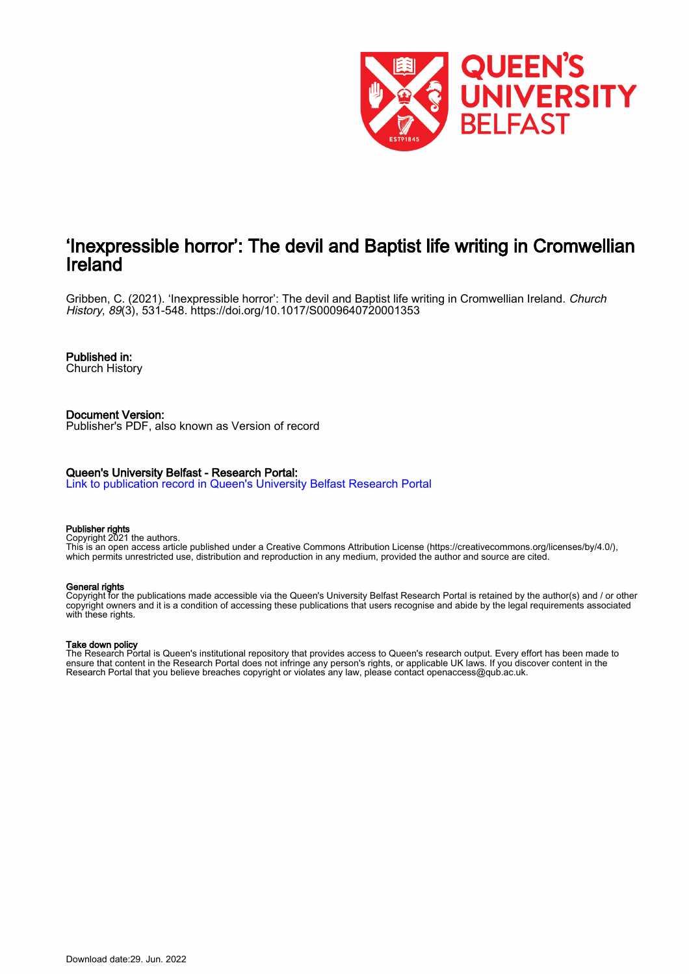

## 'Inexpressible horror': The devil and Baptist life writing in Cromwellian Ireland

Gribben, C. (2021). 'Inexpressible horror': The devil and Baptist life writing in Cromwellian Ireland. Church History, 89(3), 531-548. <https://doi.org/10.1017/S0009640720001353>

## Published in:

Church History

Document Version: Publisher's PDF, also known as Version of record

## Queen's University Belfast - Research Portal:

[Link to publication record in Queen's University Belfast Research Portal](https://pure.qub.ac.uk/en/publications/5d27f7a2-07ee-4df8-a7fc-b6ff2e3c8705)

#### Publisher rights

Copyright 2021 the authors.

This is an open access article published under a Creative Commons Attribution License (https://creativecommons.org/licenses/by/4.0/), which permits unrestricted use, distribution and reproduction in any medium, provided the author and source are cited.

## General rights

Copyright for the publications made accessible via the Queen's University Belfast Research Portal is retained by the author(s) and / or other copyright owners and it is a condition of accessing these publications that users recognise and abide by the legal requirements associated with these rights.

## Take down policy

The Research Portal is Queen's institutional repository that provides access to Queen's research output. Every effort has been made to ensure that content in the Research Portal does not infringe any person's rights, or applicable UK laws. If you discover content in the Research Portal that you believe breaches copyright or violates any law, please contact openaccess@qub.ac.uk.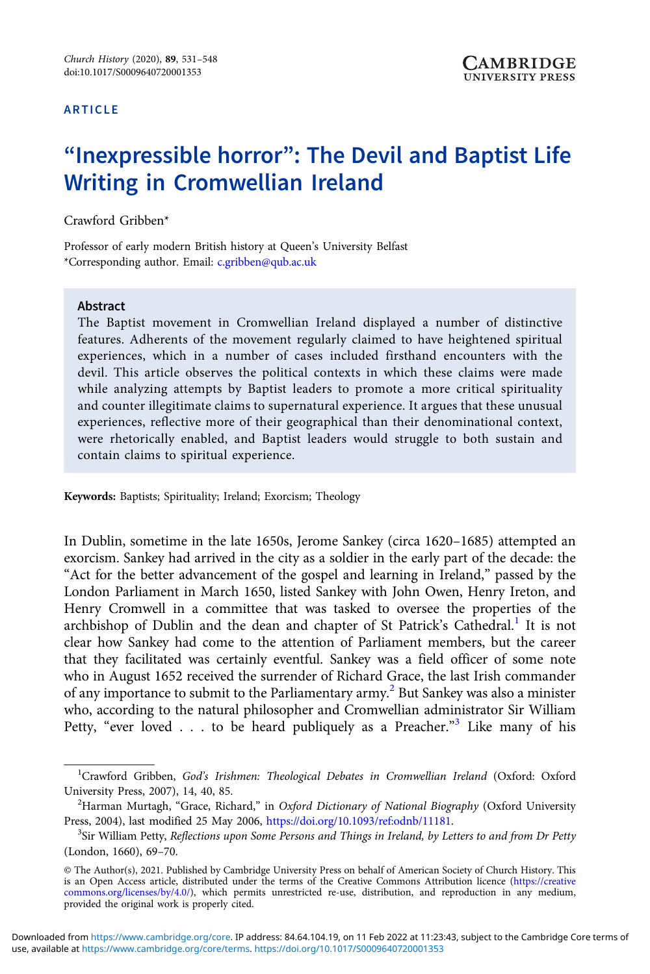### ARTICLE

# "Inexpressible horror": The Devil and Baptist Life Writing in Cromwellian Ireland

### Crawford Gribben\*

Professor of early modern British history at Queen's University Belfast \*Corresponding author. Email: [c.gribben@qub.ac.uk](mailto:c.gribben@qub.ac.uk)

#### Abstract

The Baptist movement in Cromwellian Ireland displayed a number of distinctive features. Adherents of the movement regularly claimed to have heightened spiritual experiences, which in a number of cases included firsthand encounters with the devil. This article observes the political contexts in which these claims were made while analyzing attempts by Baptist leaders to promote a more critical spirituality and counter illegitimate claims to supernatural experience. It argues that these unusual experiences, reflective more of their geographical than their denominational context, were rhetorically enabled, and Baptist leaders would struggle to both sustain and contain claims to spiritual experience.

Keywords: Baptists; Spirituality; Ireland; Exorcism; Theology

In Dublin, sometime in the late 1650s, Jerome Sankey (circa 1620–1685) attempted an exorcism. Sankey had arrived in the city as a soldier in the early part of the decade: the "Act for the better advancement of the gospel and learning in Ireland," passed by the London Parliament in March 1650, listed Sankey with John Owen, Henry Ireton, and Henry Cromwell in a committee that was tasked to oversee the properties of the archbishop of Dublin and the dean and chapter of St Patrick's Cathedral.<sup>1</sup> It is not clear how Sankey had come to the attention of Parliament members, but the career that they facilitated was certainly eventful. Sankey was a field officer of some note who in August 1652 received the surrender of Richard Grace, the last Irish commander of any importance to submit to the Parliamentary army.<sup>2</sup> But Sankey was also a minister who, according to the natural philosopher and Cromwellian administrator Sir William Petty, "ever loved . . . to be heard publiquely as a Preacher."<sup>3</sup> Like many of his

use, available at [https://www.cambridge.org/core/terms.](https://www.cambridge.org/core/terms)<https://doi.org/10.1017/S0009640720001353> Downloaded from<https://www.cambridge.org/core>. IP address: 84.64.104.19, on 11 Feb 2022 at 11:23:43, subject to the Cambridge Core terms of

<sup>&</sup>lt;sup>1</sup>Crawford Gribben, God's Irishmen: Theological Debates in Cromwellian Ireland (Oxford: Oxford University Press, 2007), 14, 40, 85. <sup>2</sup>

<sup>&</sup>lt;sup>2</sup>Harman Murtagh, "Grace, Richard," in Oxford Dictionary of National Biography (Oxford University Press, 2004), last modified 25 May 2006, [https://doi.org/10.1093/ref:odnb/11181.](https://doi.org/10.1093/ref:odnb/11181)

<sup>&</sup>lt;sup>3</sup>Sir William Petty, Reflections upon Some Persons and Things in Ireland, by Letters to and from Dr Petty (London, 1660), 69–70.

<sup>©</sup> The Author(s), 2021. Published by Cambridge University Press on behalf of American Society of Church History. This is an Open Access article, distributed under the terms of the Creative Commons Attribution licence [\(https://creative](https://creativecommons.org/licenses/by/4.0/) [commons.org/licenses/by/4.0/](https://creativecommons.org/licenses/by/4.0/)), which permits unrestricted re-use, distribution, and reproduction in any medium, provided the original work is properly cited.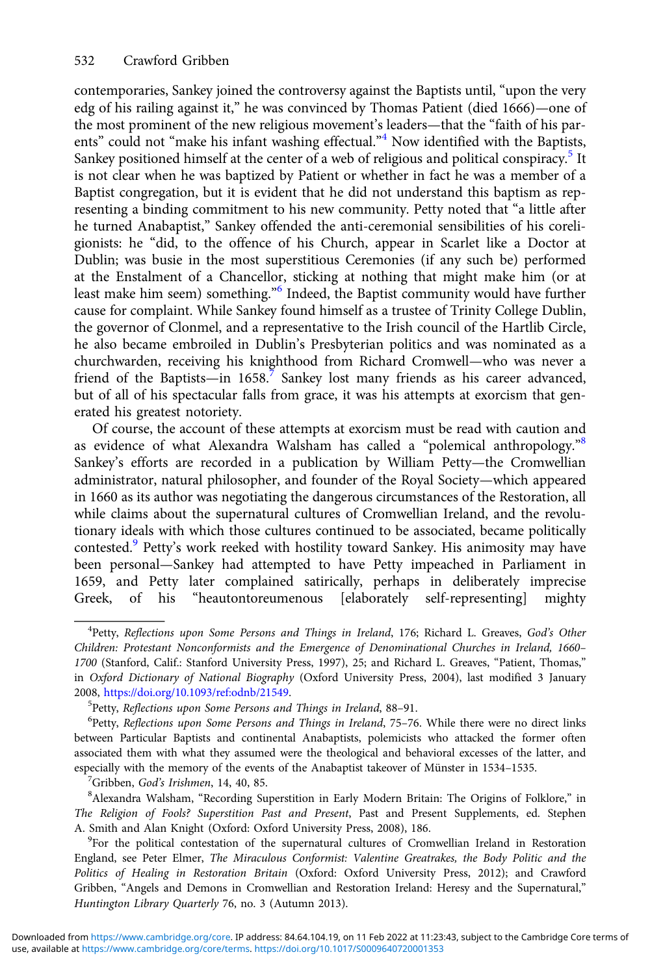contemporaries, Sankey joined the controversy against the Baptists until, "upon the very edg of his railing against it," he was convinced by Thomas Patient (died 1666)—one of the most prominent of the new religious movement's leaders—that the "faith of his parents" could not "make his infant washing effectual."<sup>4</sup> Now identified with the Baptists, Sankey positioned himself at the center of a web of religious and political conspiracy.<sup>5</sup> It is not clear when he was baptized by Patient or whether in fact he was a member of a Baptist congregation, but it is evident that he did not understand this baptism as representing a binding commitment to his new community. Petty noted that "a little after he turned Anabaptist," Sankey offended the anti-ceremonial sensibilities of his coreligionists: he "did, to the offence of his Church, appear in Scarlet like a Doctor at Dublin; was busie in the most superstitious Ceremonies (if any such be) performed at the Enstalment of a Chancellor, sticking at nothing that might make him (or at least make him seem) something." <sup>6</sup> Indeed, the Baptist community would have further cause for complaint. While Sankey found himself as a trustee of Trinity College Dublin, the governor of Clonmel, and a representative to the Irish council of the Hartlib Circle, he also became embroiled in Dublin's Presbyterian politics and was nominated as a churchwarden, receiving his knighthood from Richard Cromwell—who was never a friend of the Baptists—in  $1658$ .<sup>7</sup> Sankey lost many friends as his career advanced, but of all of his spectacular falls from grace, it was his attempts at exorcism that generated his greatest notoriety.

Of course, the account of these attempts at exorcism must be read with caution and as evidence of what Alexandra Walsham has called a "polemical anthropology."8 Sankey's efforts are recorded in a publication by William Petty—the Cromwellian administrator, natural philosopher, and founder of the Royal Society—which appeared in 1660 as its author was negotiating the dangerous circumstances of the Restoration, all while claims about the supernatural cultures of Cromwellian Ireland, and the revolutionary ideals with which those cultures continued to be associated, became politically contested.<sup>9</sup> Petty's work reeked with hostility toward Sankey. His animosity may have been personal—Sankey had attempted to have Petty impeached in Parliament in 1659, and Petty later complained satirically, perhaps in deliberately imprecise Greek, of his "heautontoreumenous [elaborately self-representing] mighty

 $^7$ Gribben, God's Irishmen, 14, 40, 85.

Alexandra Walsham, "Recording Superstition in Early Modern Britain: The Origins of Folklore," in The Religion of Fools? Superstition Past and Present, Past and Present Supplements, ed. Stephen A. Smith and Alan Knight (Oxford: Oxford University Press, 2008), 186.

<sup>9</sup>For the political contestation of the supernatural cultures of Cromwellian Ireland in Restoration England, see Peter Elmer, The Miraculous Conformist: Valentine Greatrakes, the Body Politic and the Politics of Healing in Restoration Britain (Oxford: Oxford University Press, 2012); and Crawford Gribben, "Angels and Demons in Cromwellian and Restoration Ireland: Heresy and the Supernatural," Huntington Library Quarterly 76, no. 3 (Autumn 2013).

<sup>&</sup>lt;sup>4</sup>Petty, Reflections upon Some Persons and Things in Ireland, 176; Richard L. Greaves, God's Other Children: Protestant Nonconformists and the Emergence of Denominational Churches in Ireland, 1660– 1700 (Stanford, Calif.: Stanford University Press, 1997), 25; and Richard L. Greaves, "Patient, Thomas," in Oxford Dictionary of National Biography (Oxford University Press, 2004), last modified 3 January 2008, [https://doi.org/10.1093/ref:odnb/21549.](https://doi.org/10.1093/ref:odnb/21549) <sup>5</sup>

 $5$ Petty, Reflections upon Some Persons and Things in Ireland, 88–91.

<sup>&</sup>lt;sup>6</sup>Petty, Reflections upon Some Persons and Things in Ireland, 75-76. While there were no direct links between Particular Baptists and continental Anabaptists, polemicists who attacked the former often associated them with what they assumed were the theological and behavioral excesses of the latter, and especially with the memory of the events of the Anabaptist takeover of Münster in 1534–1535.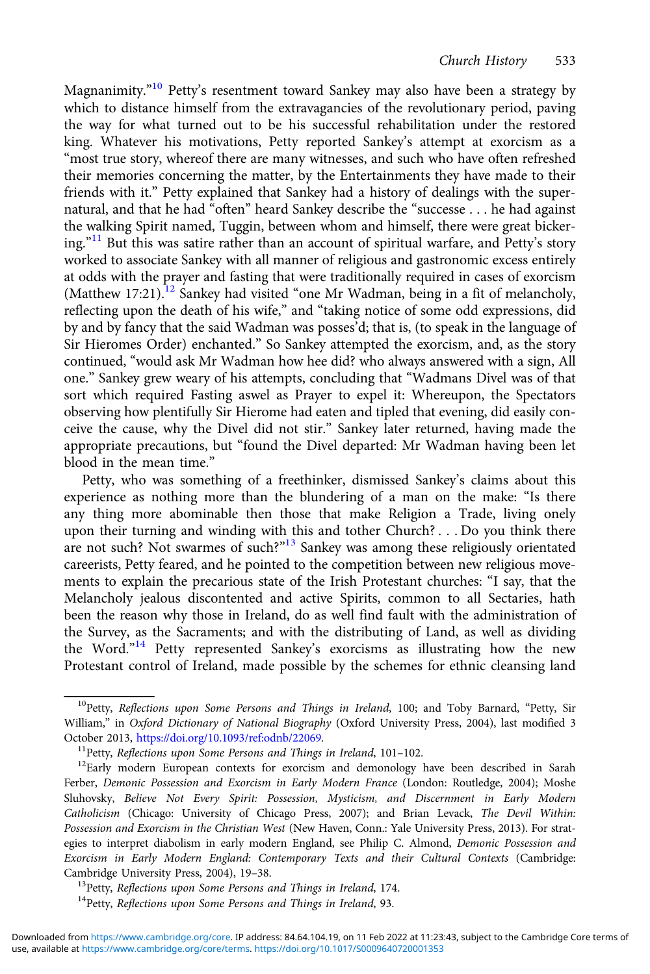Magnanimity."<sup>10</sup> Petty's resentment toward Sankey may also have been a strategy by which to distance himself from the extravagancies of the revolutionary period, paving the way for what turned out to be his successful rehabilitation under the restored king. Whatever his motivations, Petty reported Sankey's attempt at exorcism as a "most true story, whereof there are many witnesses, and such who have often refreshed their memories concerning the matter, by the Entertainments they have made to their friends with it." Petty explained that Sankey had a history of dealings with the supernatural, and that he had "often" heard Sankey describe the "successe . . . he had against the walking Spirit named, Tuggin, between whom and himself, there were great bickering." <sup>11</sup> But this was satire rather than an account of spiritual warfare, and Petty's story worked to associate Sankey with all manner of religious and gastronomic excess entirely at odds with the prayer and fasting that were traditionally required in cases of exorcism (Matthew 17:21).<sup>12</sup> Sankey had visited "one Mr Wadman, being in a fit of melancholy, reflecting upon the death of his wife," and "taking notice of some odd expressions, did by and by fancy that the said Wadman was posses'd; that is, (to speak in the language of Sir Hieromes Order) enchanted." So Sankey attempted the exorcism, and, as the story continued, "would ask Mr Wadman how hee did? who always answered with a sign, All one." Sankey grew weary of his attempts, concluding that "Wadmans Divel was of that sort which required Fasting aswel as Prayer to expel it: Whereupon, the Spectators observing how plentifully Sir Hierome had eaten and tipled that evening, did easily conceive the cause, why the Divel did not stir." Sankey later returned, having made the appropriate precautions, but "found the Divel departed: Mr Wadman having been let blood in the mean time."

Petty, who was something of a freethinker, dismissed Sankey's claims about this experience as nothing more than the blundering of a man on the make: "Is there any thing more abominable then those that make Religion a Trade, living onely upon their turning and winding with this and tother Church? . . . Do you think there are not such? Not swarmes of such?"<sup>13</sup> Sankey was among these religiously orientated careerists, Petty feared, and he pointed to the competition between new religious movements to explain the precarious state of the Irish Protestant churches: "I say, that the Melancholy jealous discontented and active Spirits, common to all Sectaries, hath been the reason why those in Ireland, do as well find fault with the administration of the Survey, as the Sacraments; and with the distributing of Land, as well as dividing the Word."<sup>14</sup> Petty represented Sankey's exorcisms as illustrating how the new Protestant control of Ireland, made possible by the schemes for ethnic cleansing land

 $10P$ etty, Reflections upon Some Persons and Things in Ireland, 100; and Toby Barnard, "Petty, Sir William," in Oxford Dictionary of National Biography (Oxford University Press, 2004), last modified 3 October 2013, [https://doi.org/10.1093/ref:odnb/22069.](https://doi.org/10.1093/ref:odnb/22069)<br><sup>11</sup>Petty, *Reflections upon Some Persons and Things in Ireland*, 101–102.<br><sup>12</sup>Early modern European contexts for exorcism and demonology have been described in Sarah

Ferber, Demonic Possession and Exorcism in Early Modern France (London: Routledge, 2004); Moshe Sluhovsky, Believe Not Every Spirit: Possession, Mysticism, and Discernment in Early Modern Catholicism (Chicago: University of Chicago Press, 2007); and Brian Levack, The Devil Within: Possession and Exorcism in the Christian West (New Haven, Conn.: Yale University Press, 2013). For strategies to interpret diabolism in early modern England, see Philip C. Almond, Demonic Possession and Exorcism in Early Modern England: Contemporary Texts and their Cultural Contexts (Cambridge: Cambridge University Press, 2004), 19–38.<br><sup>13</sup>Petty, Reflections upon Some Persons and Things in Ireland, 174.<br><sup>14</sup>Petty, Reflections upon Some Persons and Things in Ireland, 93.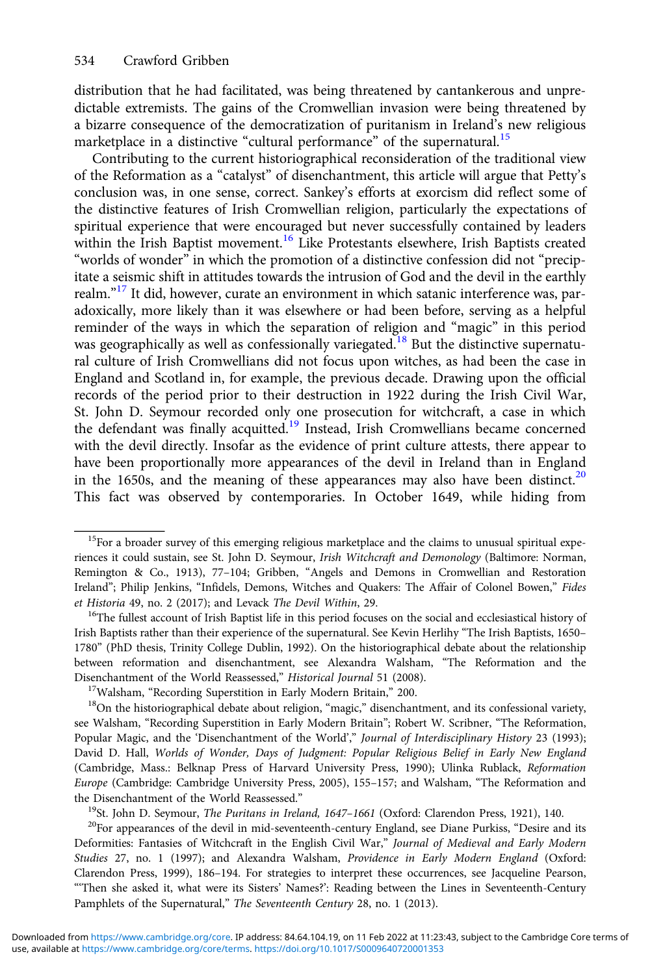distribution that he had facilitated, was being threatened by cantankerous and unpredictable extremists. The gains of the Cromwellian invasion were being threatened by a bizarre consequence of the democratization of puritanism in Ireland's new religious marketplace in a distinctive "cultural performance" of the supernatural.<sup>15</sup>

Contributing to the current historiographical reconsideration of the traditional view of the Reformation as a "catalyst" of disenchantment, this article will argue that Petty's conclusion was, in one sense, correct. Sankey's efforts at exorcism did reflect some of the distinctive features of Irish Cromwellian religion, particularly the expectations of spiritual experience that were encouraged but never successfully contained by leaders within the Irish Baptist movement.<sup>16</sup> Like Protestants elsewhere, Irish Baptists created "worlds of wonder" in which the promotion of a distinctive confession did not "precipitate a seismic shift in attitudes towards the intrusion of God and the devil in the earthly realm."<sup>17</sup> It did, however, curate an environment in which satanic interference was, paradoxically, more likely than it was elsewhere or had been before, serving as a helpful reminder of the ways in which the separation of religion and "magic" in this period was geographically as well as confessionally variegated.<sup>18</sup> But the distinctive supernatural culture of Irish Cromwellians did not focus upon witches, as had been the case in England and Scotland in, for example, the previous decade. Drawing upon the official records of the period prior to their destruction in 1922 during the Irish Civil War, St. John D. Seymour recorded only one prosecution for witchcraft, a case in which the defendant was finally acquitted.<sup>19</sup> Instead, Irish Cromwellians became concerned with the devil directly. Insofar as the evidence of print culture attests, there appear to have been proportionally more appearances of the devil in Ireland than in England in the 1650s, and the meaning of these appearances may also have been distinct.<sup>20</sup> This fact was observed by contemporaries. In October 1649, while hiding from

Deformities: Fantasies of Witchcraft in the English Civil War," Journal of Medieval and Early Modern Studies 27, no. 1 (1997); and Alexandra Walsham, Providence in Early Modern England (Oxford: Clarendon Press, 1999), 186–194. For strategies to interpret these occurrences, see Jacqueline Pearson, "'Then she asked it, what were its Sisters' Names?': Reading between the Lines in Seventeenth-Century Pamphlets of the Supernatural," The Seventeenth Century 28, no. 1 (2013).

<sup>&</sup>lt;sup>15</sup>For a broader survey of this emerging religious marketplace and the claims to unusual spiritual experiences it could sustain, see St. John D. Seymour, Irish Witchcraft and Demonology (Baltimore: Norman, Remington & Co., 1913), 77–104; Gribben, "Angels and Demons in Cromwellian and Restoration Ireland"; Philip Jenkins, "Infidels, Demons, Witches and Quakers: The Affair of Colonel Bowen," Fides et Historia 49, no. 2 (2017); and Levack *The Devil Within*, 29.<br><sup>16</sup>The fullest account of Irish Baptist life in this period focuses on the social and ecclesiastical history of

Irish Baptists rather than their experience of the supernatural. See Kevin Herlihy "The Irish Baptists, 1650– 1780" (PhD thesis, Trinity College Dublin, 1992). On the historiographical debate about the relationship between reformation and disenchantment, see Alexandra Walsham, "The Reformation and the Disenchantment of the World Reassessed," *Historical Journal* 51 (2008).<br><sup>17</sup>Walsham, "Recording Superstition in Early Modern Britain," 200.<br><sup>18</sup>On the historiographical debate about religion, "magic," disenchantment, and

see Walsham, "Recording Superstition in Early Modern Britain"; Robert W. Scribner, "The Reformation, Popular Magic, and the 'Disenchantment of the World'," Journal of Interdisciplinary History 23 (1993); David D. Hall, Worlds of Wonder, Days of Judgment: Popular Religious Belief in Early New England (Cambridge, Mass.: Belknap Press of Harvard University Press, 1990); Ulinka Rublack, Reformation Europe (Cambridge: Cambridge University Press, 2005), 155–157; and Walsham, "The Reformation and the Disenchantment of the World Reassessed."<br><sup>19</sup>St. John D. Seymour, *The Puritans in Ireland*, 1647–1661 (Oxford: Clarendon Press, 1921), 140.<br><sup>20</sup>For appearances of the devil in mid-seventeenth-century England, see Dian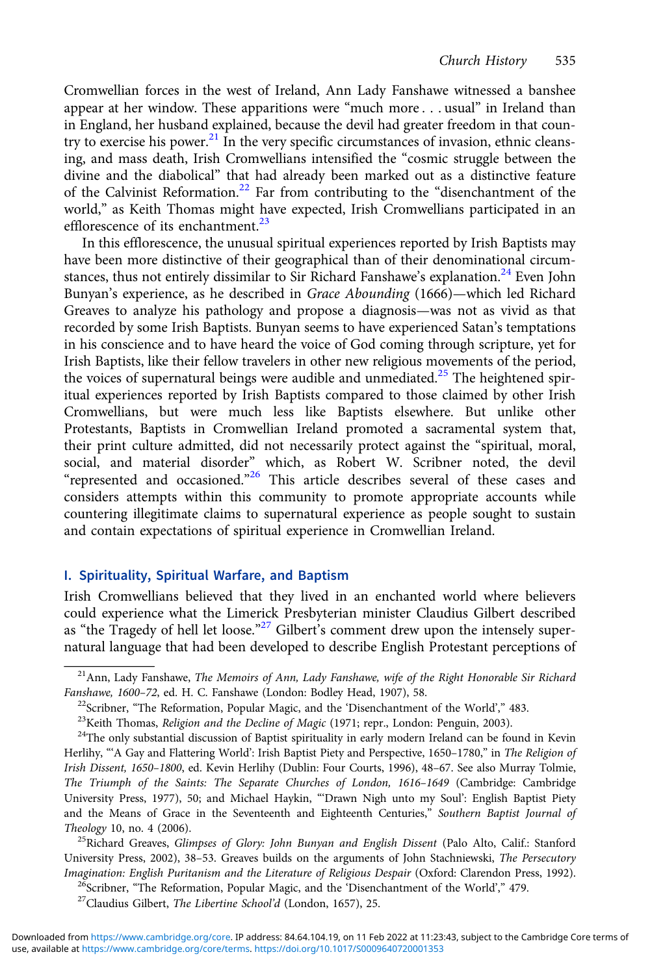Cromwellian forces in the west of Ireland, Ann Lady Fanshawe witnessed a banshee appear at her window. These apparitions were "much more . . . usual" in Ireland than in England, her husband explained, because the devil had greater freedom in that country to exercise his power.<sup>21</sup> In the very specific circumstances of invasion, ethnic cleansing, and mass death, Irish Cromwellians intensified the "cosmic struggle between the divine and the diabolical" that had already been marked out as a distinctive feature of the Calvinist Reformation.<sup>22</sup> Far from contributing to the "disenchantment of the world," as Keith Thomas might have expected, Irish Cromwellians participated in an efflorescence of its enchantment. $^{23}$ 

In this efflorescence, the unusual spiritual experiences reported by Irish Baptists may have been more distinctive of their geographical than of their denominational circumstances, thus not entirely dissimilar to Sir Richard Fanshawe's explanation.<sup>24</sup> Even John Bunyan's experience, as he described in Grace Abounding (1666)—which led Richard Greaves to analyze his pathology and propose a diagnosis—was not as vivid as that recorded by some Irish Baptists. Bunyan seems to have experienced Satan's temptations in his conscience and to have heard the voice of God coming through scripture, yet for Irish Baptists, like their fellow travelers in other new religious movements of the period, the voices of supernatural beings were audible and unmediated.<sup>25</sup> The heightened spiritual experiences reported by Irish Baptists compared to those claimed by other Irish Cromwellians, but were much less like Baptists elsewhere. But unlike other Protestants, Baptists in Cromwellian Ireland promoted a sacramental system that, their print culture admitted, did not necessarily protect against the "spiritual, moral, social, and material disorder" which, as Robert W. Scribner noted, the devil "represented and occasioned."<sup>26</sup> This article describes several of these cases and considers attempts within this community to promote appropriate accounts while countering illegitimate claims to supernatural experience as people sought to sustain and contain expectations of spiritual experience in Cromwellian Ireland.

## I. Spirituality, Spiritual Warfare, and Baptism

Irish Cromwellians believed that they lived in an enchanted world where believers could experience what the Limerick Presbyterian minister Claudius Gilbert described as "the Tragedy of hell let loose."<sup>27</sup> Gilbert's comment drew upon the intensely supernatural language that had been developed to describe English Protestant perceptions of

 $2<sup>1</sup>$ Ann, Lady Fanshawe, The Memoirs of Ann, Lady Fanshawe, wife of the Right Honorable Sir Richard Fanshawe, 1600–72, ed. H. C. Fanshawe (London: Bodley Head, 1907), 58.<br><sup>22</sup>Scribner, "The Reformation, Popular Magic, and the 'Disenchantment of the World'," 483.<br><sup>23</sup>Keith Thomas, *Religion and the Decline of Magic* (197

Herlihy, "'A Gay and Flattering World': Irish Baptist Piety and Perspective, 1650-1780," in The Religion of Irish Dissent, 1650–1800, ed. Kevin Herlihy (Dublin: Four Courts, 1996), 48–67. See also Murray Tolmie, The Triumph of the Saints: The Separate Churches of London, 1616–1649 (Cambridge: Cambridge University Press, 1977), 50; and Michael Haykin, "'Drawn Nigh unto my Soul': English Baptist Piety and the Means of Grace in the Seventeenth and Eighteenth Centuries," Southern Baptist Journal of

Theology 10, no. 4 (2006).<br><sup>25</sup>Richard Greaves, *Glimpses of Glory: John Bunyan and English Dissent* (Palo Alto, Calif.: Stanford University Press, 2002), 38–53. Greaves builds on the arguments of John Stachniewski, The Persecutory *Imagination: English Puritanism and the Literature of Religious Despair* (Oxford: Clarendon Press, 1992).<br><sup>26</sup>Scribner, "The Reformation, Popular Magic, and the 'Disenchantment of the World'," 479.<br><sup>27</sup>Claudius Gilbert,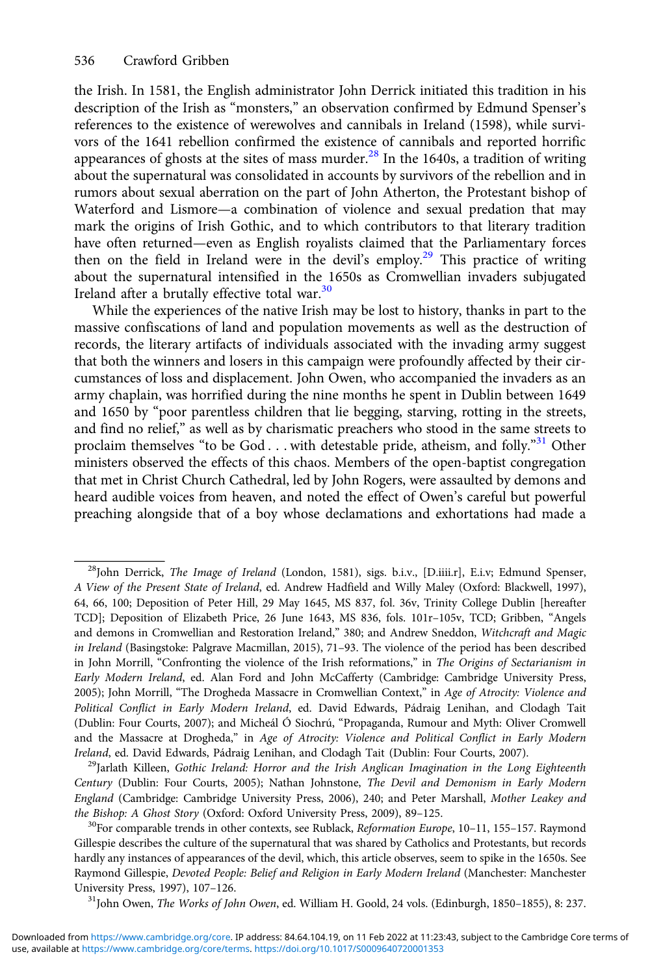the Irish. In 1581, the English administrator John Derrick initiated this tradition in his description of the Irish as "monsters," an observation confirmed by Edmund Spenser's references to the existence of werewolves and cannibals in Ireland (1598), while survivors of the 1641 rebellion confirmed the existence of cannibals and reported horrific appearances of ghosts at the sites of mass murder. $^{28}$  In the 1640s, a tradition of writing about the supernatural was consolidated in accounts by survivors of the rebellion and in rumors about sexual aberration on the part of John Atherton, the Protestant bishop of Waterford and Lismore—a combination of violence and sexual predation that may mark the origins of Irish Gothic, and to which contributors to that literary tradition have often returned—even as English royalists claimed that the Parliamentary forces then on the field in Ireland were in the devil's employ.<sup>29</sup> This practice of writing about the supernatural intensified in the 1650s as Cromwellian invaders subjugated Ireland after a brutally effective total war.<sup>30</sup>

While the experiences of the native Irish may be lost to history, thanks in part to the massive confiscations of land and population movements as well as the destruction of records, the literary artifacts of individuals associated with the invading army suggest that both the winners and losers in this campaign were profoundly affected by their circumstances of loss and displacement. John Owen, who accompanied the invaders as an army chaplain, was horrified during the nine months he spent in Dublin between 1649 and 1650 by "poor parentless children that lie begging, starving, rotting in the streets, and find no relief," as well as by charismatic preachers who stood in the same streets to proclaim themselves "to be God . . . with detestable pride, atheism, and folly."31 Other ministers observed the effects of this chaos. Members of the open-baptist congregation that met in Christ Church Cathedral, led by John Rogers, were assaulted by demons and heard audible voices from heaven, and noted the effect of Owen's careful but powerful preaching alongside that of a boy whose declamations and exhortations had made a

Century (Dublin: Four Courts, 2005); Nathan Johnstone, The Devil and Demonism in Early Modern England (Cambridge: Cambridge University Press, 2006), 240; and Peter Marshall, Mother Leakey and the Bishop: A Ghost Story (Oxford: Oxford University Press, 2009), 89–125.<br><sup>30</sup>For comparable trends in other contexts, see Rublack, *Reformation Europe*, 10–11, 155–157. Raymond

Gillespie describes the culture of the supernatural that was shared by Catholics and Protestants, but records hardly any instances of appearances of the devil, which, this article observes, seem to spike in the 1650s. See Raymond Gillespie, Devoted People: Belief and Religion in Early Modern Ireland (Manchester: Manchester<br>University Press, 1997), 107-126.

 $^{31}$ John Owen, *The Works of John Owen*, ed. William H. Goold, 24 vols. (Edinburgh, 1850–1855), 8: 237.

<sup>&</sup>lt;sup>28</sup>John Derrick, *The Image of Ireland* (London, 1581), sigs. b.i.v., [D.iiii.r], E.i.v; Edmund Spenser, A View of the Present State of Ireland, ed. Andrew Hadfield and Willy Maley (Oxford: Blackwell, 1997), 64, 66, 100; Deposition of Peter Hill, 29 May 1645, MS 837, fol. 36v, Trinity College Dublin [hereafter TCD]; Deposition of Elizabeth Price, 26 June 1643, MS 836, fols. 101r–105v, TCD; Gribben, "Angels and demons in Cromwellian and Restoration Ireland," 380; and Andrew Sneddon, Witchcraft and Magic in Ireland (Basingstoke: Palgrave Macmillan, 2015), 71–93. The violence of the period has been described in John Morrill, "Confronting the violence of the Irish reformations," in The Origins of Sectarianism in Early Modern Ireland, ed. Alan Ford and John McCafferty (Cambridge: Cambridge University Press, 2005); John Morrill, "The Drogheda Massacre in Cromwellian Context," in Age of Atrocity: Violence and Political Conflict in Early Modern Ireland, ed. David Edwards, Pádraig Lenihan, and Clodagh Tait (Dublin: Four Courts, 2007); and Micheál Ó Siochrú, "Propaganda, Rumour and Myth: Oliver Cromwell and the Massacre at Drogheda," in Age of Atrocity: Violence and Political Conflict in Early Modern Ireland, ed. David Edwards, Pádraig Lenihan, and Clodagh Tait (Dublin: Four Courts, 2007).<br><sup>29</sup>Jarlath Killeen, *Gothic Ireland: Horror and the Irish Anglican Imagination in the Long Eighteenth*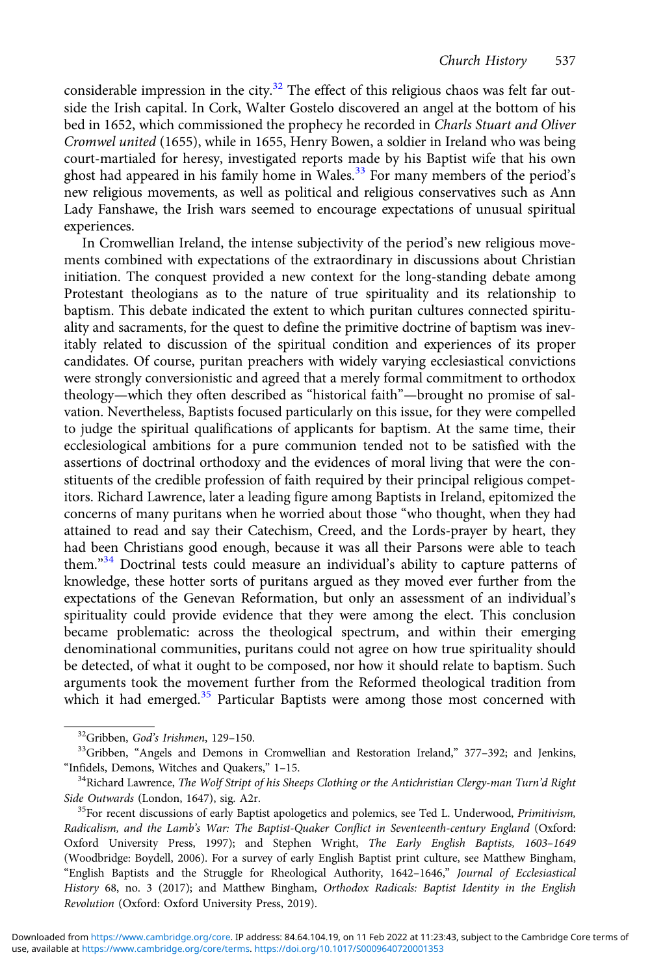considerable impression in the city. $32$  The effect of this religious chaos was felt far outside the Irish capital. In Cork, Walter Gostelo discovered an angel at the bottom of his bed in 1652, which commissioned the prophecy he recorded in Charls Stuart and Oliver Cromwel united (1655), while in 1655, Henry Bowen, a soldier in Ireland who was being court-martialed for heresy, investigated reports made by his Baptist wife that his own ghost had appeared in his family home in Wales.<sup>33</sup> For many members of the period's new religious movements, as well as political and religious conservatives such as Ann Lady Fanshawe, the Irish wars seemed to encourage expectations of unusual spiritual experiences.

In Cromwellian Ireland, the intense subjectivity of the period's new religious movements combined with expectations of the extraordinary in discussions about Christian initiation. The conquest provided a new context for the long-standing debate among Protestant theologians as to the nature of true spirituality and its relationship to baptism. This debate indicated the extent to which puritan cultures connected spirituality and sacraments, for the quest to define the primitive doctrine of baptism was inevitably related to discussion of the spiritual condition and experiences of its proper candidates. Of course, puritan preachers with widely varying ecclesiastical convictions were strongly conversionistic and agreed that a merely formal commitment to orthodox theology—which they often described as "historical faith"—brought no promise of salvation. Nevertheless, Baptists focused particularly on this issue, for they were compelled to judge the spiritual qualifications of applicants for baptism. At the same time, their ecclesiological ambitions for a pure communion tended not to be satisfied with the assertions of doctrinal orthodoxy and the evidences of moral living that were the constituents of the credible profession of faith required by their principal religious competitors. Richard Lawrence, later a leading figure among Baptists in Ireland, epitomized the concerns of many puritans when he worried about those "who thought, when they had attained to read and say their Catechism, Creed, and the Lords-prayer by heart, they had been Christians good enough, because it was all their Parsons were able to teach them." <sup>34</sup> Doctrinal tests could measure an individual's ability to capture patterns of knowledge, these hotter sorts of puritans argued as they moved ever further from the expectations of the Genevan Reformation, but only an assessment of an individual's spirituality could provide evidence that they were among the elect. This conclusion became problematic: across the theological spectrum, and within their emerging denominational communities, puritans could not agree on how true spirituality should be detected, of what it ought to be composed, nor how it should relate to baptism. Such arguments took the movement further from the Reformed theological tradition from which it had emerged.<sup>35</sup> Particular Baptists were among those most concerned with

<sup>&</sup>lt;sup>32</sup>Gribben, God's Irishmen, 129–150.<br><sup>33</sup>Gribben, "Angels and Demons in Cromwellian and Restoration Ireland," 377–392; and Jenkins, "Infidels, Demons, Witches and Quakers," 1–15.<br><sup>34</sup>Richard Lawrence, *The Wolf Stript of his Sheeps Clothing or the Antichristian Clergy-man Turn'd Right* 

Side Outwards (London, 1647), sig. A2r.<br><sup>35</sup>For recent discussions of early Baptist apologetics and polemics, see Ted L. Underwood, *Primitivism*,

Radicalism, and the Lamb's War: The Baptist-Quaker Conflict in Seventeenth-century England (Oxford: Oxford University Press, 1997); and Stephen Wright, The Early English Baptists, 1603–1649 (Woodbridge: Boydell, 2006). For a survey of early English Baptist print culture, see Matthew Bingham, "English Baptists and the Struggle for Rheological Authority, 1642–1646," Journal of Ecclesiastical History 68, no. 3 (2017); and Matthew Bingham, Orthodox Radicals: Baptist Identity in the English Revolution (Oxford: Oxford University Press, 2019).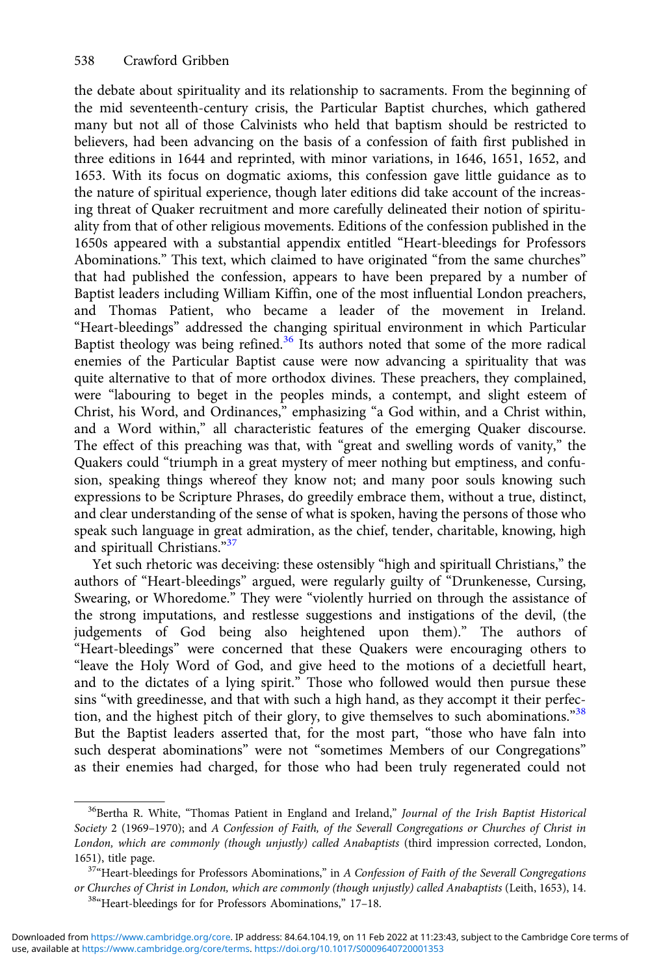the debate about spirituality and its relationship to sacraments. From the beginning of the mid seventeenth-century crisis, the Particular Baptist churches, which gathered many but not all of those Calvinists who held that baptism should be restricted to believers, had been advancing on the basis of a confession of faith first published in three editions in 1644 and reprinted, with minor variations, in 1646, 1651, 1652, and 1653. With its focus on dogmatic axioms, this confession gave little guidance as to the nature of spiritual experience, though later editions did take account of the increasing threat of Quaker recruitment and more carefully delineated their notion of spirituality from that of other religious movements. Editions of the confession published in the 1650s appeared with a substantial appendix entitled "Heart-bleedings for Professors Abominations." This text, which claimed to have originated "from the same churches" that had published the confession, appears to have been prepared by a number of Baptist leaders including William Kiffin, one of the most influential London preachers, and Thomas Patient, who became a leader of the movement in Ireland. "Heart-bleedings" addressed the changing spiritual environment in which Particular Baptist theology was being refined.<sup>36</sup> Its authors noted that some of the more radical enemies of the Particular Baptist cause were now advancing a spirituality that was quite alternative to that of more orthodox divines. These preachers, they complained, were "labouring to beget in the peoples minds, a contempt, and slight esteem of Christ, his Word, and Ordinances," emphasizing "a God within, and a Christ within, and a Word within," all characteristic features of the emerging Quaker discourse. The effect of this preaching was that, with "great and swelling words of vanity," the Quakers could "triumph in a great mystery of meer nothing but emptiness, and confusion, speaking things whereof they know not; and many poor souls knowing such expressions to be Scripture Phrases, do greedily embrace them, without a true, distinct, and clear understanding of the sense of what is spoken, having the persons of those who speak such language in great admiration, as the chief, tender, charitable, knowing, high and spirituall Christians."37

Yet such rhetoric was deceiving: these ostensibly "high and spirituall Christians," the authors of "Heart-bleedings" argued, were regularly guilty of "Drunkenesse, Cursing, Swearing, or Whoredome." They were "violently hurried on through the assistance of the strong imputations, and restlesse suggestions and instigations of the devil, (the judgements of God being also heightened upon them)." The authors of "Heart-bleedings" were concerned that these Quakers were encouraging others to "leave the Holy Word of God, and give heed to the motions of a decietfull heart, and to the dictates of a lying spirit." Those who followed would then pursue these sins "with greedinesse, and that with such a high hand, as they accompt it their perfection, and the highest pitch of their glory, to give themselves to such abominations."38 But the Baptist leaders asserted that, for the most part, "those who have faln into such desperat abominations" were not "sometimes Members of our Congregations" as their enemies had charged, for those who had been truly regenerated could not

<sup>&</sup>lt;sup>36</sup>Bertha R. White, "Thomas Patient in England and Ireland," Journal of the Irish Baptist Historical Society 2 (1969–1970); and A Confession of Faith, of the Severall Congregations or Churches of Christ in London, which are commonly (though unjustly) called Anabaptists (third impression corrected, London, 1651), title page.<br> $37^{\circ}$ Heart-bleedings for Professors Abominations," in A Confession of Faith of the Severall Congregations

or Churches of Christ in London, which are commonly (though unjustly) called Anabaptists (Leith, 1653), 14. <sup>38</sup>"Heart-bleedings for for Professors Abominations," 17–18.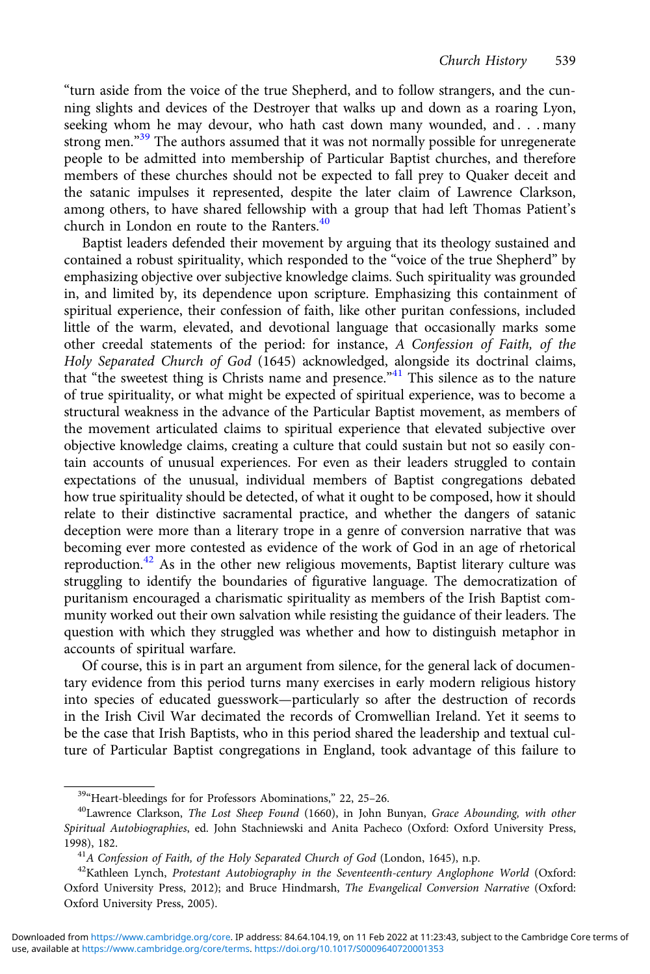"turn aside from the voice of the true Shepherd, and to follow strangers, and the cunning slights and devices of the Destroyer that walks up and down as a roaring Lyon, seeking whom he may devour, who hath cast down many wounded, and . . . many strong men."<sup>39</sup> The authors assumed that it was not normally possible for unregenerate people to be admitted into membership of Particular Baptist churches, and therefore members of these churches should not be expected to fall prey to Quaker deceit and the satanic impulses it represented, despite the later claim of Lawrence Clarkson, among others, to have shared fellowship with a group that had left Thomas Patient's church in London en route to the Ranters.<sup>40</sup>

Baptist leaders defended their movement by arguing that its theology sustained and contained a robust spirituality, which responded to the "voice of the true Shepherd" by emphasizing objective over subjective knowledge claims. Such spirituality was grounded in, and limited by, its dependence upon scripture. Emphasizing this containment of spiritual experience, their confession of faith, like other puritan confessions, included little of the warm, elevated, and devotional language that occasionally marks some other creedal statements of the period: for instance, A Confession of Faith, of the Holy Separated Church of God (1645) acknowledged, alongside its doctrinal claims, that "the sweetest thing is Christs name and presence."<sup>41</sup> This silence as to the nature of true spirituality, or what might be expected of spiritual experience, was to become a structural weakness in the advance of the Particular Baptist movement, as members of the movement articulated claims to spiritual experience that elevated subjective over objective knowledge claims, creating a culture that could sustain but not so easily contain accounts of unusual experiences. For even as their leaders struggled to contain expectations of the unusual, individual members of Baptist congregations debated how true spirituality should be detected, of what it ought to be composed, how it should relate to their distinctive sacramental practice, and whether the dangers of satanic deception were more than a literary trope in a genre of conversion narrative that was becoming ever more contested as evidence of the work of God in an age of rhetorical reproduction.<sup>42</sup> As in the other new religious movements, Baptist literary culture was struggling to identify the boundaries of figurative language. The democratization of puritanism encouraged a charismatic spirituality as members of the Irish Baptist community worked out their own salvation while resisting the guidance of their leaders. The question with which they struggled was whether and how to distinguish metaphor in accounts of spiritual warfare.

Of course, this is in part an argument from silence, for the general lack of documentary evidence from this period turns many exercises in early modern religious history into species of educated guesswork—particularly so after the destruction of records in the Irish Civil War decimated the records of Cromwellian Ireland. Yet it seems to be the case that Irish Baptists, who in this period shared the leadership and textual culture of Particular Baptist congregations in England, took advantage of this failure to

<sup>&</sup>lt;sup>39</sup>"Heart-bleedings for for Professors Abominations," 22, 25–26.<br><sup>40</sup>Lawrence Clarkson, *The Lost Sheep Found* (1660), in John Bunyan, *Grace Abounding, with other* Spiritual Autobiographies, ed. John Stachniewski and Anita Pacheco (Oxford: Oxford University Press, 1998), 182.<br><sup>41</sup>A Confession of Faith, of the Holy Separated Church of God (London, 1645), n.p.<br><sup>42</sup>Kathleen Lynch, *Protestant Autobiography in the Seventeenth-century Anglophone World* (Oxford:

Oxford University Press, 2012); and Bruce Hindmarsh, The Evangelical Conversion Narrative (Oxford: Oxford University Press, 2005).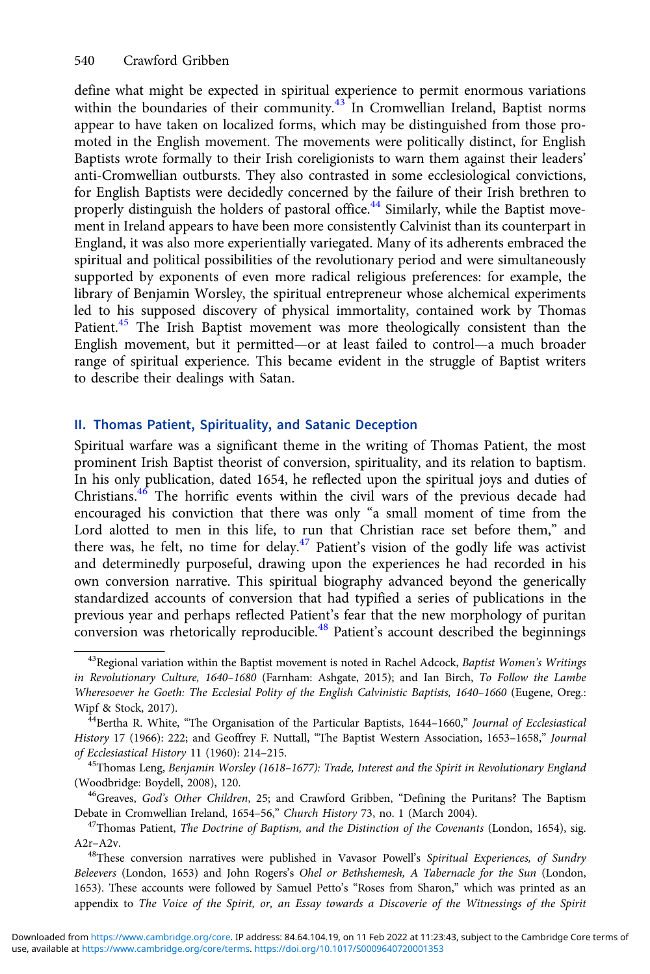define what might be expected in spiritual experience to permit enormous variations within the boundaries of their community.<sup>43</sup> In Cromwellian Ireland, Baptist norms appear to have taken on localized forms, which may be distinguished from those promoted in the English movement. The movements were politically distinct, for English Baptists wrote formally to their Irish coreligionists to warn them against their leaders' anti-Cromwellian outbursts. They also contrasted in some ecclesiological convictions, for English Baptists were decidedly concerned by the failure of their Irish brethren to properly distinguish the holders of pastoral office.<sup>44</sup> Similarly, while the Baptist movement in Ireland appears to have been more consistently Calvinist than its counterpart in England, it was also more experientially variegated. Many of its adherents embraced the spiritual and political possibilities of the revolutionary period and were simultaneously supported by exponents of even more radical religious preferences: for example, the library of Benjamin Worsley, the spiritual entrepreneur whose alchemical experiments led to his supposed discovery of physical immortality, contained work by Thomas Patient.<sup>45</sup> The Irish Baptist movement was more theologically consistent than the English movement, but it permitted—or at least failed to control—a much broader range of spiritual experience. This became evident in the struggle of Baptist writers to describe their dealings with Satan.

### II. Thomas Patient, Spirituality, and Satanic Deception

Spiritual warfare was a significant theme in the writing of Thomas Patient, the most prominent Irish Baptist theorist of conversion, spirituality, and its relation to baptism. In his only publication, dated 1654, he reflected upon the spiritual joys and duties of Christians.46 The horrific events within the civil wars of the previous decade had encouraged his conviction that there was only "a small moment of time from the Lord alotted to men in this life, to run that Christian race set before them," and there was, he felt, no time for delay.<sup>47</sup> Patient's vision of the godly life was activist and determinedly purposeful, drawing upon the experiences he had recorded in his own conversion narrative. This spiritual biography advanced beyond the generically standardized accounts of conversion that had typified a series of publications in the previous year and perhaps reflected Patient's fear that the new morphology of puritan conversion was rhetorically reproducible.<sup>48</sup> Patient's account described the beginnings

 $43$ Regional variation within the Baptist movement is noted in Rachel Adcock, Baptist Women's Writings in Revolutionary Culture, 1640–1680 (Farnham: Ashgate, 2015); and Ian Birch, To Follow the Lambe Wheresoever he Goeth: The Ecclesial Polity of the English Calvinistic Baptists, 1640–1660 (Eugene, Oreg.: Wipf & Stock, 2017).<br><sup>44</sup>Bertha R. White, "The Organisation of the Particular Baptists, 1644–1660," *Journal of Ecclesiastical* 

History 17 (1966): 222; and Geoffrey F. Nuttall, "The Baptist Western Association, 1653–1658," Journal of Ecclesiastical History 11 (1960): 214–215.<br><sup>45</sup>Thomas Leng, Benjamin Worsley (1618–1677): Trade, Interest and the Spirit in Revolutionary England

<sup>(</sup>Woodbridge: Boydell, 2008), 120.<br><sup>46</sup>Greaves, God's Other Children, 25; and Crawford Gribben, "Defining the Puritans? The Baptism

Debate in Cromwellian Ireland, 1654–56," Church History 73, no. 1 (March 2004).<br><sup>47</sup>Thomas Patient, *The Doctrine of Baptism, and the Distinction of the Covenants* (London, 1654), sig.

A2r-A2v.<br><sup>48</sup>These conversion narratives were published in Vavasor Powell's Spiritual Experiences, of Sundry

Beleevers (London, 1653) and John Rogers's Ohel or Bethshemesh, A Tabernacle for the Sun (London, 1653). These accounts were followed by Samuel Petto's "Roses from Sharon," which was printed as an appendix to The Voice of the Spirit, or, an Essay towards a Discoverie of the Witnessings of the Spirit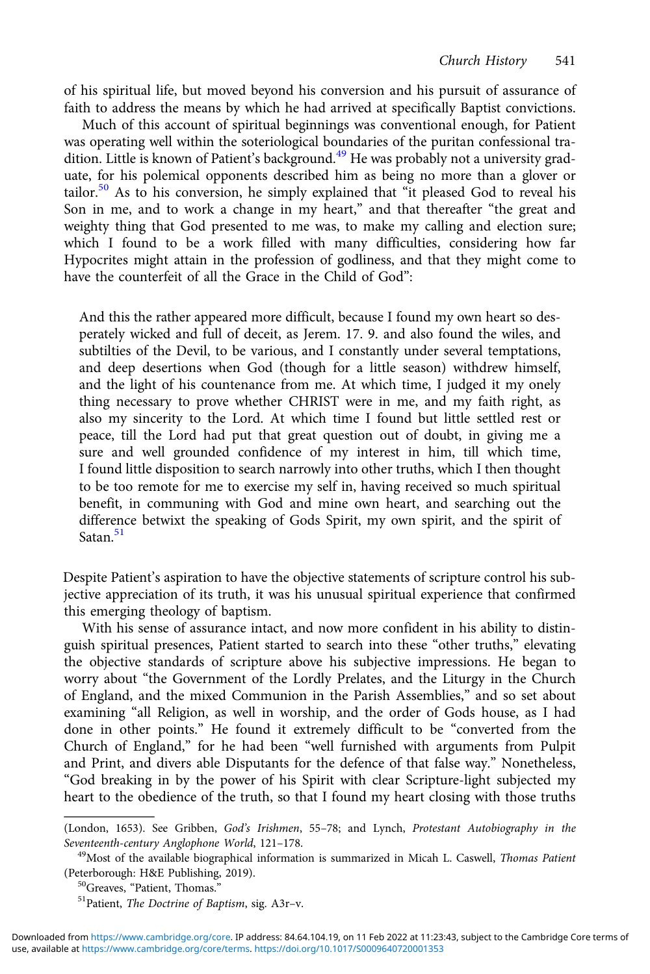of his spiritual life, but moved beyond his conversion and his pursuit of assurance of faith to address the means by which he had arrived at specifically Baptist convictions.

Much of this account of spiritual beginnings was conventional enough, for Patient was operating well within the soteriological boundaries of the puritan confessional tradition. Little is known of Patient's background.<sup>49</sup> He was probably not a university graduate, for his polemical opponents described him as being no more than a glover or tailor.<sup>50</sup> As to his conversion, he simply explained that "it pleased God to reveal his Son in me, and to work a change in my heart," and that thereafter "the great and weighty thing that God presented to me was, to make my calling and election sure; which I found to be a work filled with many difficulties, considering how far Hypocrites might attain in the profession of godliness, and that they might come to have the counterfeit of all the Grace in the Child of God":

And this the rather appeared more difficult, because I found my own heart so desperately wicked and full of deceit, as Jerem. 17. 9. and also found the wiles, and subtilties of the Devil, to be various, and I constantly under several temptations, and deep desertions when God (though for a little season) withdrew himself, and the light of his countenance from me. At which time, I judged it my onely thing necessary to prove whether CHRIST were in me, and my faith right, as also my sincerity to the Lord. At which time I found but little settled rest or peace, till the Lord had put that great question out of doubt, in giving me a sure and well grounded confidence of my interest in him, till which time, I found little disposition to search narrowly into other truths, which I then thought to be too remote for me to exercise my self in, having received so much spiritual benefit, in communing with God and mine own heart, and searching out the difference betwixt the speaking of Gods Spirit, my own spirit, and the spirit of Satan<sup>51</sup>

Despite Patient's aspiration to have the objective statements of scripture control his subjective appreciation of its truth, it was his unusual spiritual experience that confirmed this emerging theology of baptism.

With his sense of assurance intact, and now more confident in his ability to distinguish spiritual presences, Patient started to search into these "other truths," elevating the objective standards of scripture above his subjective impressions. He began to worry about "the Government of the Lordly Prelates, and the Liturgy in the Church of England, and the mixed Communion in the Parish Assemblies," and so set about examining "all Religion, as well in worship, and the order of Gods house, as I had done in other points." He found it extremely difficult to be "converted from the Church of England," for he had been "well furnished with arguments from Pulpit and Print, and divers able Disputants for the defence of that false way." Nonetheless, "God breaking in by the power of his Spirit with clear Scripture-light subjected my heart to the obedience of the truth, so that I found my heart closing with those truths

<sup>(</sup>London, 1653). See Gribben, God's Irishmen, 55–78; and Lynch, Protestant Autobiography in the Seventeenth-century Anglophone World, 121–178.<br><sup>49</sup>Most of the available biographical information is summarized in Micah L. Caswell, Thomas Patient

<sup>(</sup>Peterborough: H&E Publishing, 2019).<br><sup>50</sup>Greaves, "Patient, Thomas." <sup>51</sup>Patient, *The Doctrine of Baptism*, sig. A3r–v.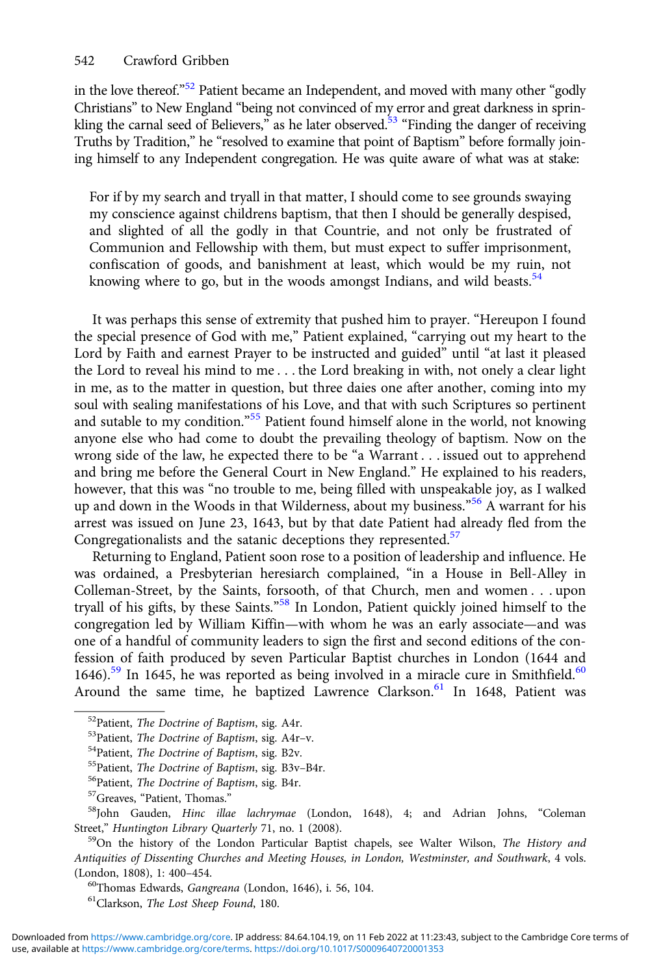in the love thereof."<sup>52</sup> Patient became an Independent, and moved with many other "godly Christians" to New England "being not convinced of my error and great darkness in sprinkling the carnal seed of Believers," as he later observed.<sup>53</sup> "Finding the danger of receiving Truths by Tradition," he "resolved to examine that point of Baptism" before formally joining himself to any Independent congregation. He was quite aware of what was at stake:

For if by my search and tryall in that matter, I should come to see grounds swaying my conscience against childrens baptism, that then I should be generally despised, and slighted of all the godly in that Countrie, and not only be frustrated of Communion and Fellowship with them, but must expect to suffer imprisonment, confiscation of goods, and banishment at least, which would be my ruin, not knowing where to go, but in the woods amongst Indians, and wild beasts.<sup>54</sup>

It was perhaps this sense of extremity that pushed him to prayer. "Hereupon I found the special presence of God with me," Patient explained, "carrying out my heart to the Lord by Faith and earnest Prayer to be instructed and guided" until "at last it pleased the Lord to reveal his mind to me . . . the Lord breaking in with, not onely a clear light in me, as to the matter in question, but three daies one after another, coming into my soul with sealing manifestations of his Love, and that with such Scriptures so pertinent and sutable to my condition."<sup>55</sup> Patient found himself alone in the world, not knowing anyone else who had come to doubt the prevailing theology of baptism. Now on the wrong side of the law, he expected there to be "a Warrant . . . issued out to apprehend and bring me before the General Court in New England." He explained to his readers, however, that this was "no trouble to me, being filled with unspeakable joy, as I walked up and down in the Woods in that Wilderness, about my business." <sup>56</sup> A warrant for his arrest was issued on June 23, 1643, but by that date Patient had already fled from the Congregationalists and the satanic deceptions they represented.<sup>57</sup>

Returning to England, Patient soon rose to a position of leadership and influence. He was ordained, a Presbyterian heresiarch complained, "in a House in Bell-Alley in Colleman-Street, by the Saints, forsooth, of that Church, men and women . . . upon tryall of his gifts, by these Saints."<sup>58</sup> In London, Patient quickly joined himself to the congregation led by William Kiffin—with whom he was an early associate—and was one of a handful of community leaders to sign the first and second editions of the confession of faith produced by seven Particular Baptist churches in London (1644 and 1646).<sup>59</sup> In 1645, he was reported as being involved in a miracle cure in Smithfield.<sup>60</sup> Around the same time, he baptized Lawrence Clarkson.<sup>61</sup> In 1648, Patient was

<sup>52</sup>Patient, *The Doctrine of Baptism*, sig. A4r.<br><sup>53</sup>Patient, *The Doctrine of Baptism*, sig. A4r-v.<br><sup>54</sup>Patient, *The Doctrine of Baptism*, sig. B2v.<br><sup>55</sup>Patient, *The Doctrine of Baptism*, sig. B3v-B4r.<br><sup>56</sup>Patient, *T* Street," Huntington Library Quarterly 71, no. 1 (2008).<br><sup>59</sup>On the history of the London Particular Baptist chapels, see Walter Wilson, *The History and* 

Antiquities of Dissenting Churches and Meeting Houses, in London, Westminster, and Southwark, 4 vols.

(London, 1808), 1: 400–454.<br><sup>60</sup>Thomas Edwards, *Gangreana* (London, 1646), i. 56, 104.<br><sup>61</sup>Clarkson, *The Lost Sheep Found*, 180.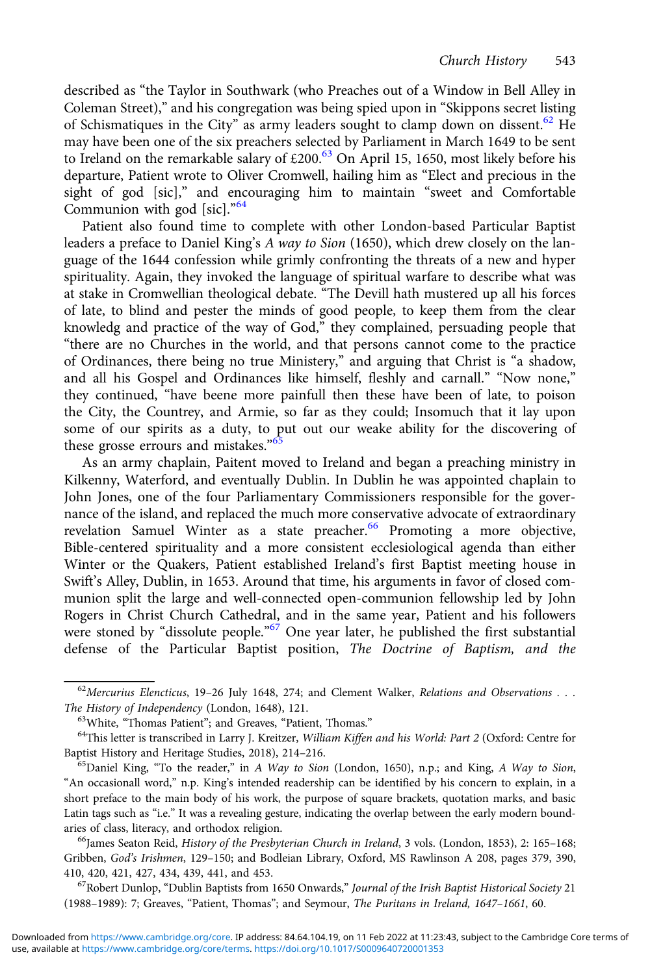described as "the Taylor in Southwark (who Preaches out of a Window in Bell Alley in Coleman Street)," and his congregation was being spied upon in "Skippons secret listing of Schismatiques in the City" as army leaders sought to clamp down on dissent.<sup>62</sup> He may have been one of the six preachers selected by Parliament in March 1649 to be sent to Ireland on the remarkable salary of  $£200.<sup>63</sup>$  On April 15, 1650, most likely before his departure, Patient wrote to Oliver Cromwell, hailing him as "Elect and precious in the sight of god [sic]," and encouraging him to maintain "sweet and Comfortable Communion with god [sic]."<sup>64</sup>

Patient also found time to complete with other London-based Particular Baptist leaders a preface to Daniel King's A way to Sion (1650), which drew closely on the language of the 1644 confession while grimly confronting the threats of a new and hyper spirituality. Again, they invoked the language of spiritual warfare to describe what was at stake in Cromwellian theological debate. "The Devill hath mustered up all his forces of late, to blind and pester the minds of good people, to keep them from the clear knowledg and practice of the way of God," they complained, persuading people that "there are no Churches in the world, and that persons cannot come to the practice of Ordinances, there being no true Ministery," and arguing that Christ is "a shadow, and all his Gospel and Ordinances like himself, fleshly and carnall." "Now none," they continued, "have beene more painfull then these have been of late, to poison the City, the Countrey, and Armie, so far as they could; Insomuch that it lay upon some of our spirits as a duty, to put out our weake ability for the discovering of these grosse errours and mistakes."<sup>65</sup>

As an army chaplain, Paitent moved to Ireland and began a preaching ministry in Kilkenny, Waterford, and eventually Dublin. In Dublin he was appointed chaplain to John Jones, one of the four Parliamentary Commissioners responsible for the governance of the island, and replaced the much more conservative advocate of extraordinary revelation Samuel Winter as a state preacher.<sup>66</sup> Promoting a more objective, Bible-centered spirituality and a more consistent ecclesiological agenda than either Winter or the Quakers, Patient established Ireland's first Baptist meeting house in Swift's Alley, Dublin, in 1653. Around that time, his arguments in favor of closed communion split the large and well-connected open-communion fellowship led by John Rogers in Christ Church Cathedral, and in the same year, Patient and his followers were stoned by "dissolute people."<sup>67</sup> One year later, he published the first substantial defense of the Particular Baptist position, The Doctrine of Baptism, and the

(1988–1989): 7; Greaves, "Patient, Thomas"; and Seymour, The Puritans in Ireland, 1647–1661, 60.

 $62$ Mercurius Elencticus, 19–26 July 1648, 274; and Clement Walker, Relations and Observations . . . The History of Independency (London, 1648), 121.<br><sup>63</sup>White, "Thomas Patient"; and Greaves, "Patient, Thomas."<br><sup>64</sup>This letter is transcribed in Larry J. Kreitzer, *William Kiffen and his World: Part 2* (Oxford: Centre for

Baptist History and Heritage Studies, 2018), 214–216.<br><sup>65</sup>Daniel King, "To the reader," in A Way to Sion (London, 1650), n.p.; and King, A Way to Sion,

<sup>&</sup>quot;An occasionall word," n.p. King's intended readership can be identified by his concern to explain, in a short preface to the main body of his work, the purpose of square brackets, quotation marks, and basic Latin tags such as "i.e." It was a revealing gesture, indicating the overlap between the early modern boundaries of class, literacy, and orthodox religion.<br><sup>66</sup>James Seaton Reid, *History of the Presbyterian Church in Ireland*, 3 vols. (London, 1853), 2: 165–168;

Gribben, God's Irishmen, 129–150; and Bodleian Library, Oxford, MS Rawlinson A 208, pages 379, 390, 410, 420, 421, 427, 434, 439, 441, and 453.<br><sup>67</sup>Robert Dunlop, "Dublin Baptists from 1650 Onwards," *Journal of the Irish Baptist Historical Society* 21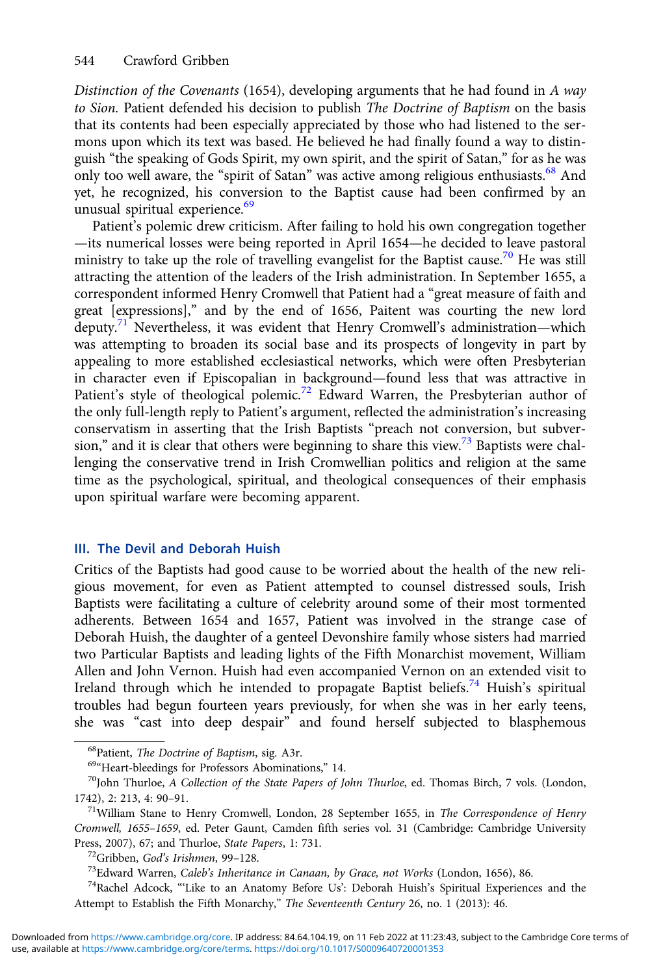Distinction of the Covenants (1654), developing arguments that he had found in A way to Sion. Patient defended his decision to publish The Doctrine of Baptism on the basis that its contents had been especially appreciated by those who had listened to the sermons upon which its text was based. He believed he had finally found a way to distinguish "the speaking of Gods Spirit, my own spirit, and the spirit of Satan," for as he was only too well aware, the "spirit of Satan" was active among religious enthusiasts.<sup>68</sup> And yet, he recognized, his conversion to the Baptist cause had been confirmed by an unusual spiritual experience.<sup>69</sup>

Patient's polemic drew criticism. After failing to hold his own congregation together —its numerical losses were being reported in April 1654—he decided to leave pastoral ministry to take up the role of travelling evangelist for the Baptist cause.<sup>70</sup> He was still attracting the attention of the leaders of the Irish administration. In September 1655, a correspondent informed Henry Cromwell that Patient had a "great measure of faith and great [expressions]," and by the end of 1656, Paitent was courting the new lord deputy.<sup>71</sup> Nevertheless, it was evident that Henry Cromwell's administration—which was attempting to broaden its social base and its prospects of longevity in part by appealing to more established ecclesiastical networks, which were often Presbyterian in character even if Episcopalian in background—found less that was attractive in Patient's style of theological polemic.<sup>72</sup> Edward Warren, the Presbyterian author of the only full-length reply to Patient's argument, reflected the administration's increasing conservatism in asserting that the Irish Baptists "preach not conversion, but subversion," and it is clear that others were beginning to share this view.<sup>73</sup> Baptists were challenging the conservative trend in Irish Cromwellian politics and religion at the same time as the psychological, spiritual, and theological consequences of their emphasis upon spiritual warfare were becoming apparent.

## III. The Devil and Deborah Huish

Critics of the Baptists had good cause to be worried about the health of the new religious movement, for even as Patient attempted to counsel distressed souls, Irish Baptists were facilitating a culture of celebrity around some of their most tormented adherents. Between 1654 and 1657, Patient was involved in the strange case of Deborah Huish, the daughter of a genteel Devonshire family whose sisters had married two Particular Baptists and leading lights of the Fifth Monarchist movement, William Allen and John Vernon. Huish had even accompanied Vernon on an extended visit to Ireland through which he intended to propagate Baptist beliefs.<sup>74</sup> Huish's spiritual troubles had begun fourteen years previously, for when she was in her early teens, she was "cast into deep despair" and found herself subjected to blasphemous

<sup>&</sup>lt;sup>68</sup>Patient, *The Doctrine of Baptism*, sig. A3r.<br><sup>69«</sup>Heart-bleedings for Professors Abominations," 14.<br><sup>70</sup>John Thurloe, *A Collection of the State Papers of John Thurloe*, ed. Thomas Birch, 7 vols. (London, 1742), 2: 213, 4: 90-91.<br><sup>71</sup>William Stane to Henry Cromwell, London, 28 September 1655, in *The Correspondence of Henry* 

Cromwell, 1655–1659, ed. Peter Gaunt, Camden fifth series vol. 31 (Cambridge: Cambridge University Press, 2007), 67; and Thurloe, *State Papers*, 1: 731.<br><sup>72</sup>Gribben, *God's Irishmen*, 99–128.<br><sup>73</sup>Edward Warren, *Caleb's Inheritance in Canaan, by Grace, not Works* (London, 1656), 86.<br><sup>74</sup>Rachel Adcock, "Like to an Anato

Attempt to Establish the Fifth Monarchy," The Seventeenth Century 26, no. 1 (2013): 46.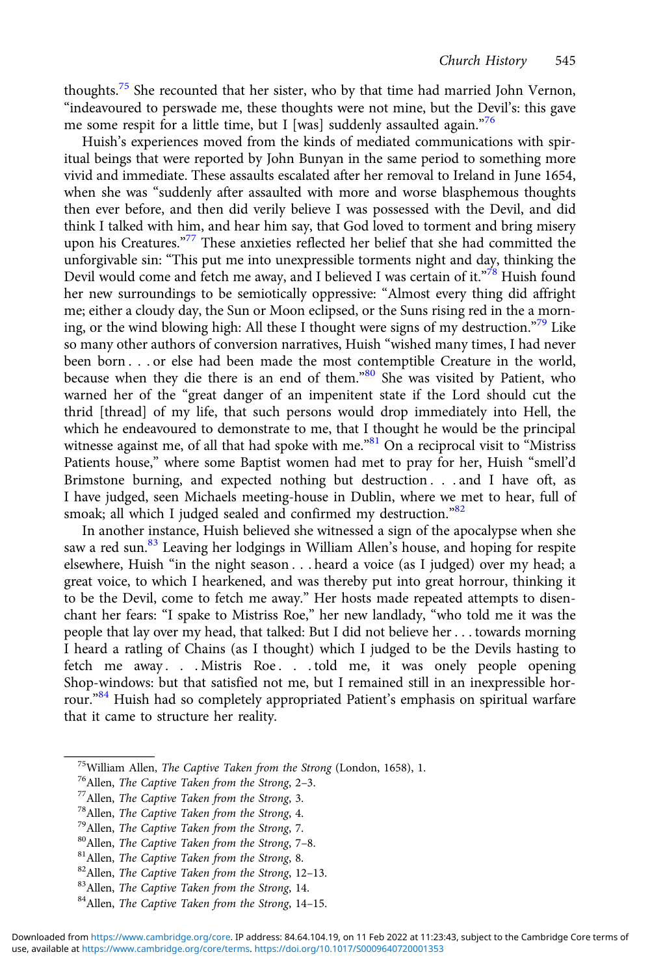thoughts.<sup>75</sup> She recounted that her sister, who by that time had married John Vernon, "indeavoured to perswade me, these thoughts were not mine, but the Devil's: this gave me some respit for a little time, but I [was] suddenly assaulted again."76

Huish's experiences moved from the kinds of mediated communications with spiritual beings that were reported by John Bunyan in the same period to something more vivid and immediate. These assaults escalated after her removal to Ireland in June 1654, when she was "suddenly after assaulted with more and worse blasphemous thoughts then ever before, and then did verily believe I was possessed with the Devil, and did think I talked with him, and hear him say, that God loved to torment and bring misery upon his Creatures." <sup>77</sup> These anxieties reflected her belief that she had committed the unforgivable sin: "This put me into unexpressible torments night and day, thinking the Devil would come and fetch me away, and I believed I was certain of it."<sup>78</sup> Huish found her new surroundings to be semiotically oppressive: "Almost every thing did affright me; either a cloudy day, the Sun or Moon eclipsed, or the Suns rising red in the a morning, or the wind blowing high: All these I thought were signs of my destruction." <sup>79</sup> Like so many other authors of conversion narratives, Huish "wished many times, I had never been born . . . or else had been made the most contemptible Creature in the world, because when they die there is an end of them." <sup>80</sup> She was visited by Patient, who warned her of the "great danger of an impenitent state if the Lord should cut the thrid [thread] of my life, that such persons would drop immediately into Hell, the which he endeavoured to demonstrate to me, that I thought he would be the principal witnesse against me, of all that had spoke with me."81 On a reciprocal visit to "Mistriss Patients house," where some Baptist women had met to pray for her, Huish "smell'd Brimstone burning, and expected nothing but destruction . . . and I have oft, as I have judged, seen Michaels meeting-house in Dublin, where we met to hear, full of smoak; all which I judged sealed and confirmed my destruction."82

In another instance, Huish believed she witnessed a sign of the apocalypse when she saw a red sun.<sup>83</sup> Leaving her lodgings in William Allen's house, and hoping for respite elsewhere, Huish "in the night season . . . heard a voice (as I judged) over my head; a great voice, to which I hearkened, and was thereby put into great horrour, thinking it to be the Devil, come to fetch me away." Her hosts made repeated attempts to disenchant her fears: "I spake to Mistriss Roe," her new landlady, "who told me it was the people that lay over my head, that talked: But I did not believe her . . . towards morning I heard a ratling of Chains (as I thought) which I judged to be the Devils hasting to fetch me away . . . Mistris Roe . . . told me, it was onely people opening Shop-windows: but that satisfied not me, but I remained still in an inexpressible horrour." <sup>84</sup> Huish had so completely appropriated Patient's emphasis on spiritual warfare that it came to structure her reality.

<sup>&</sup>lt;sup>75</sup>William Allen, *The Captive Taken from the Strong* (London, 1658), 1.<br><sup>76</sup>Allen, *The Captive Taken from the Strong*, 2–3.<br><sup>77</sup>Allen, *The Captive Taken from the Strong*, 3.<br><sup>78</sup>Allen, *The Captive Taken from the Stro*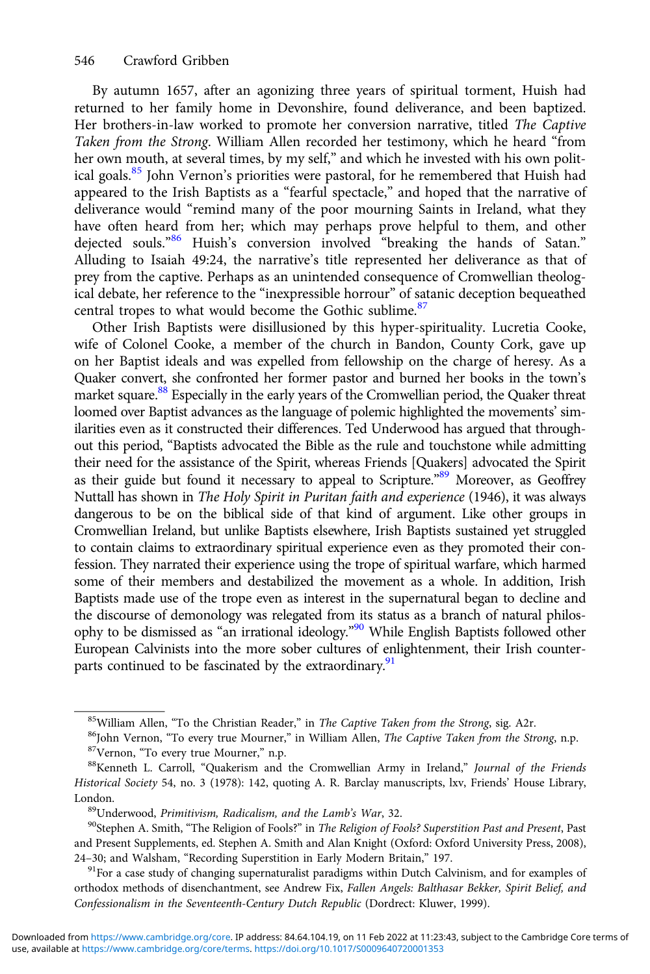By autumn 1657, after an agonizing three years of spiritual torment, Huish had returned to her family home in Devonshire, found deliverance, and been baptized. Her brothers-in-law worked to promote her conversion narrative, titled The Captive Taken from the Strong. William Allen recorded her testimony, which he heard "from her own mouth, at several times, by my self," and which he invested with his own political goals.<sup>85</sup> John Vernon's priorities were pastoral, for he remembered that Huish had appeared to the Irish Baptists as a "fearful spectacle," and hoped that the narrative of deliverance would "remind many of the poor mourning Saints in Ireland, what they have often heard from her; which may perhaps prove helpful to them, and other dejected souls." <sup>86</sup> Huish's conversion involved "breaking the hands of Satan." Alluding to Isaiah 49:24, the narrative's title represented her deliverance as that of prey from the captive. Perhaps as an unintended consequence of Cromwellian theological debate, her reference to the "inexpressible horrour" of satanic deception bequeathed central tropes to what would become the Gothic sublime.<sup>87</sup>

Other Irish Baptists were disillusioned by this hyper-spirituality. Lucretia Cooke, wife of Colonel Cooke, a member of the church in Bandon, County Cork, gave up on her Baptist ideals and was expelled from fellowship on the charge of heresy. As a Quaker convert, she confronted her former pastor and burned her books in the town's market square.<sup>88</sup> Especially in the early years of the Cromwellian period, the Quaker threat loomed over Baptist advances as the language of polemic highlighted the movements' similarities even as it constructed their differences. Ted Underwood has argued that throughout this period, "Baptists advocated the Bible as the rule and touchstone while admitting their need for the assistance of the Spirit, whereas Friends [Quakers] advocated the Spirit as their guide but found it necessary to appeal to Scripture."<sup>89</sup> Moreover, as Geoffrey Nuttall has shown in The Holy Spirit in Puritan faith and experience (1946), it was always dangerous to be on the biblical side of that kind of argument. Like other groups in Cromwellian Ireland, but unlike Baptists elsewhere, Irish Baptists sustained yet struggled to contain claims to extraordinary spiritual experience even as they promoted their confession. They narrated their experience using the trope of spiritual warfare, which harmed some of their members and destabilized the movement as a whole. In addition, Irish Baptists made use of the trope even as interest in the supernatural began to decline and the discourse of demonology was relegated from its status as a branch of natural philosophy to be dismissed as "an irrational ideology." <sup>90</sup> While English Baptists followed other European Calvinists into the more sober cultures of enlightenment, their Irish counterparts continued to be fascinated by the extraordinary.<sup>91</sup>

<sup>&</sup>lt;sup>85</sup>William Allen, "To the Christian Reader," in *The Captive Taken from the Strong*, sig. A2r.<br><sup>86</sup>John Vernon, "To every true Mourner," in William Allen, *The Captive Taken from the Strong*, n.p.<br><sup>87</sup>Vernon, "To every t

Historical Society 54, no. 3 (1978): 142, quoting A. R. Barclay manuscripts, lxv, Friends' House Library, London.<br><sup>89</sup>Underwood, *Primitivism, Radicalism, and the Lamb's War*, 32. <sup>90</sup>Stephen A. Smith, "The Religion of Fools?" in *The Religion of Fools? Superstition Past and Present*, Past

and Present Supplements, ed. Stephen A. Smith and Alan Knight (Oxford: Oxford University Press, 2008), 24–30; and Walsham, "Recording Superstition in Early Modern Britain," 197.<br><sup>91</sup>For a case study of changing supernaturalist paradigms within Dutch Calvinism, and for examples of

orthodox methods of disenchantment, see Andrew Fix, Fallen Angels: Balthasar Bekker, Spirit Belief, and Confessionalism in the Seventeenth-Century Dutch Republic (Dordrect: Kluwer, 1999).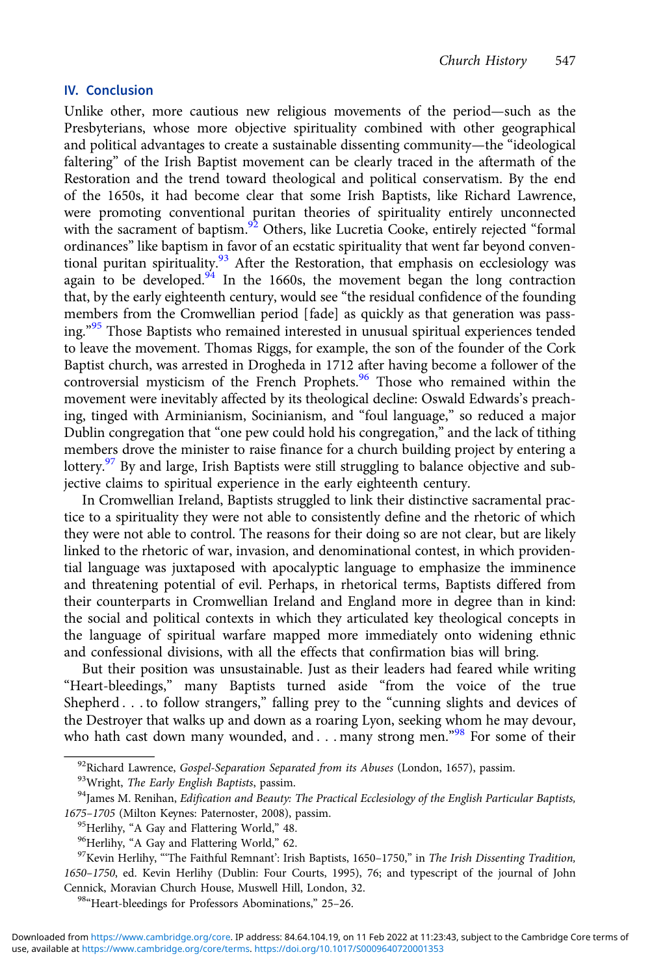### IV. Conclusion

Unlike other, more cautious new religious movements of the period—such as the Presbyterians, whose more objective spirituality combined with other geographical and political advantages to create a sustainable dissenting community—the "ideological faltering" of the Irish Baptist movement can be clearly traced in the aftermath of the Restoration and the trend toward theological and political conservatism. By the end of the 1650s, it had become clear that some Irish Baptists, like Richard Lawrence, were promoting conventional puritan theories of spirituality entirely unconnected with the sacrament of baptism.<sup>92</sup> Others, like Lucretia Cooke, entirely rejected "formal ordinances" like baptism in favor of an ecstatic spirituality that went far beyond conventional puritan spirituality.<sup>93</sup> After the Restoration, that emphasis on ecclesiology was again to be developed.<sup>94</sup> In the 1660s, the movement began the long contraction that, by the early eighteenth century, would see "the residual confidence of the founding members from the Cromwellian period [fade] as quickly as that generation was passing." <sup>95</sup> Those Baptists who remained interested in unusual spiritual experiences tended to leave the movement. Thomas Riggs, for example, the son of the founder of the Cork Baptist church, was arrested in Drogheda in 1712 after having become a follower of the controversial mysticism of the French Prophets.<sup>96</sup> Those who remained within the movement were inevitably affected by its theological decline: Oswald Edwards's preaching, tinged with Arminianism, Socinianism, and "foul language," so reduced a major Dublin congregation that "one pew could hold his congregation," and the lack of tithing members drove the minister to raise finance for a church building project by entering a lottery.<sup>97</sup> By and large, Irish Baptists were still struggling to balance objective and subjective claims to spiritual experience in the early eighteenth century.

In Cromwellian Ireland, Baptists struggled to link their distinctive sacramental practice to a spirituality they were not able to consistently define and the rhetoric of which they were not able to control. The reasons for their doing so are not clear, but are likely linked to the rhetoric of war, invasion, and denominational contest, in which providential language was juxtaposed with apocalyptic language to emphasize the imminence and threatening potential of evil. Perhaps, in rhetorical terms, Baptists differed from their counterparts in Cromwellian Ireland and England more in degree than in kind: the social and political contexts in which they articulated key theological concepts in the language of spiritual warfare mapped more immediately onto widening ethnic and confessional divisions, with all the effects that confirmation bias will bring.

But their position was unsustainable. Just as their leaders had feared while writing "Heart-bleedings," many Baptists turned aside "from the voice of the true Shepherd . . . to follow strangers," falling prey to the "cunning slights and devices of the Destroyer that walks up and down as a roaring Lyon, seeking whom he may devour, who hath cast down many wounded, and . . . many strong men."<sup>98</sup> For some of their

<sup>&</sup>lt;sup>92</sup>Richard Lawrence, *Gospel-Separation Separated from its Abuses* (London, 1657), passim.<br><sup>93</sup>Wright, *The Early English Baptists*, passim.<br><sup>94</sup>James M. Renihan, *Edification and Beauty: The Practical Ecclesiology of th* 

<sup>1675–1705 (</sup>Milton Keynes: Paternoster, 2008), passim.<br><sup>95</sup>Herlihy, "A Gay and Flattering World," 48.<br><sup>96</sup>Herlihy, "A Gay and Flattering World," 62.<br><sup>97</sup>Kevin Herlihy, "The Faithful Remnant': Irish Baptists, 1650–1750," in

<sup>1650</sup>–1750, ed. Kevin Herlihy (Dublin: Four Courts, 1995), 76; and typescript of the journal of John Cennick, Moravian Church House, Muswell Hill, London, 32. <sup>98</sup>"Heart-bleedings for Professors Abominations," <sup>25</sup>–26.